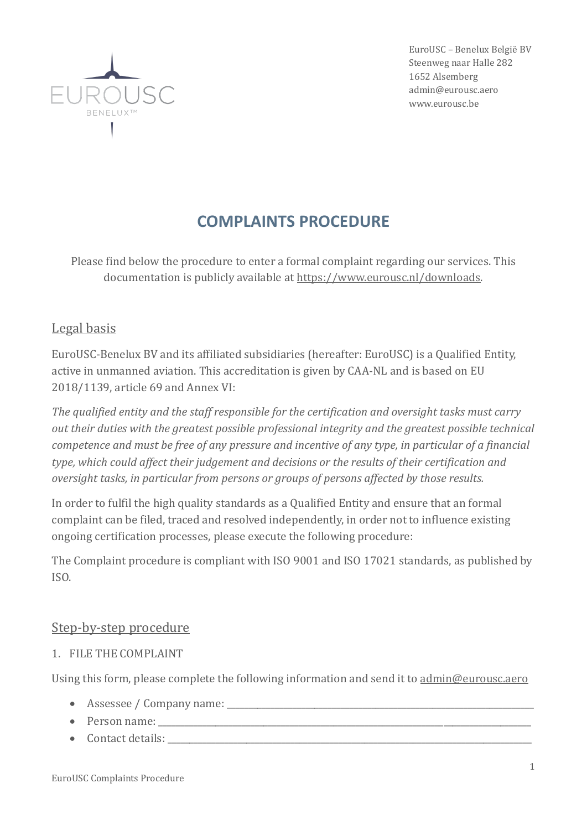

EuroUSC – Benelux Belgie BV Steenweg naar Halle 282 1652 Alsemberg admin@eurousc.aero www.eurousc.be

# **COMPLAINTS PROCEDURE**

Please find below the procedure to enter a formal complaint regarding our services. This documentation is publicly available at [https://www.eurousc.nl/downloads.](https://www.eurousc.nl/downloads)

## Legal basis

EuroUSC-Benelux BV and its affiliated subsidiaries (hereafter: EuroUSC) is a Qualified Entity, active in unmanned aviation. This accreditation is given by CAA-NL and is based on EU 2018/1139, article 69 and Annex VI:

*The qualified entity and the staff responsible for the certification and oversight tasks must carry out their duties with the greatest possible professional integrity and the greatest possible technical competence and must be free of any pressure and incentive of any type, in particular of a financial type, which could affect their judgement and decisions or the results of their certification and oversight tasks, in particular from persons or groups of persons affected by those results.*

In order to fulfil the high quality standards as a Qualified Entity and ensure that an formal complaint can be filed, traced and resolved independently, in order not to influence existing ongoing certification processes, please execute the following procedure:

The Complaint procedure is compliant with ISO 9001 and ISO 17021 standards, as published by ISO.

## Step-by-step procedure

1. FILE THE COMPLAINT

Using this form, please complete the following information and send it to [admin@eurousc.aero](mailto:admin@eurousc.aero)

- Assessee / Company name:
- Person name:
- Contact details: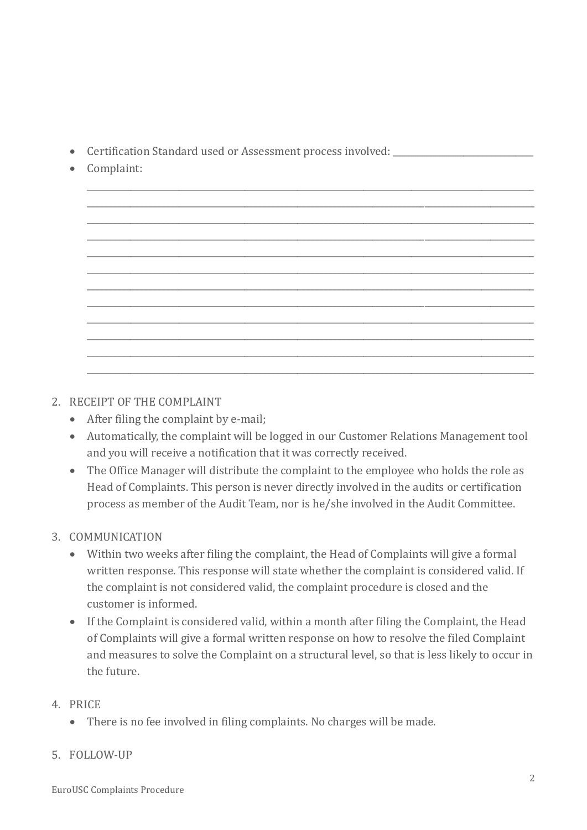- Certification Standard used or Assessment process involved:
- Complaint:



- 2. RECEIPT OF THE COMPLAINT
	- After filing the complaint by e-mail;
	- Automatically, the complaint will be logged in our Customer Relations Management tool and you will receive a notification that it was correctly received.
	- The Office Manager will distribute the complaint to the employee who holds the role as Head of Complaints. This person is never directly involved in the audits or certification process as member of the Audit Team, nor is he/she involved in the Audit Committee.

## 3. COMMUNICATION

- Within two weeks after filing the complaint, the Head of Complaints will give a formal written response. This response will state whether the complaint is considered valid. If the complaint is not considered valid, the complaint procedure is closed and the customer is informed.
- If the Complaint is considered valid, within a month after filing the Complaint, the Head of Complaints will give a formal written response on how to resolve the filed Complaint and measures to solve the Complaint on a structural level, so that is less likely to occur in the future.

#### 4. PRICE

• There is no fee involved in filing complaints. No charges will be made.

#### 5. FOLLOW-UP